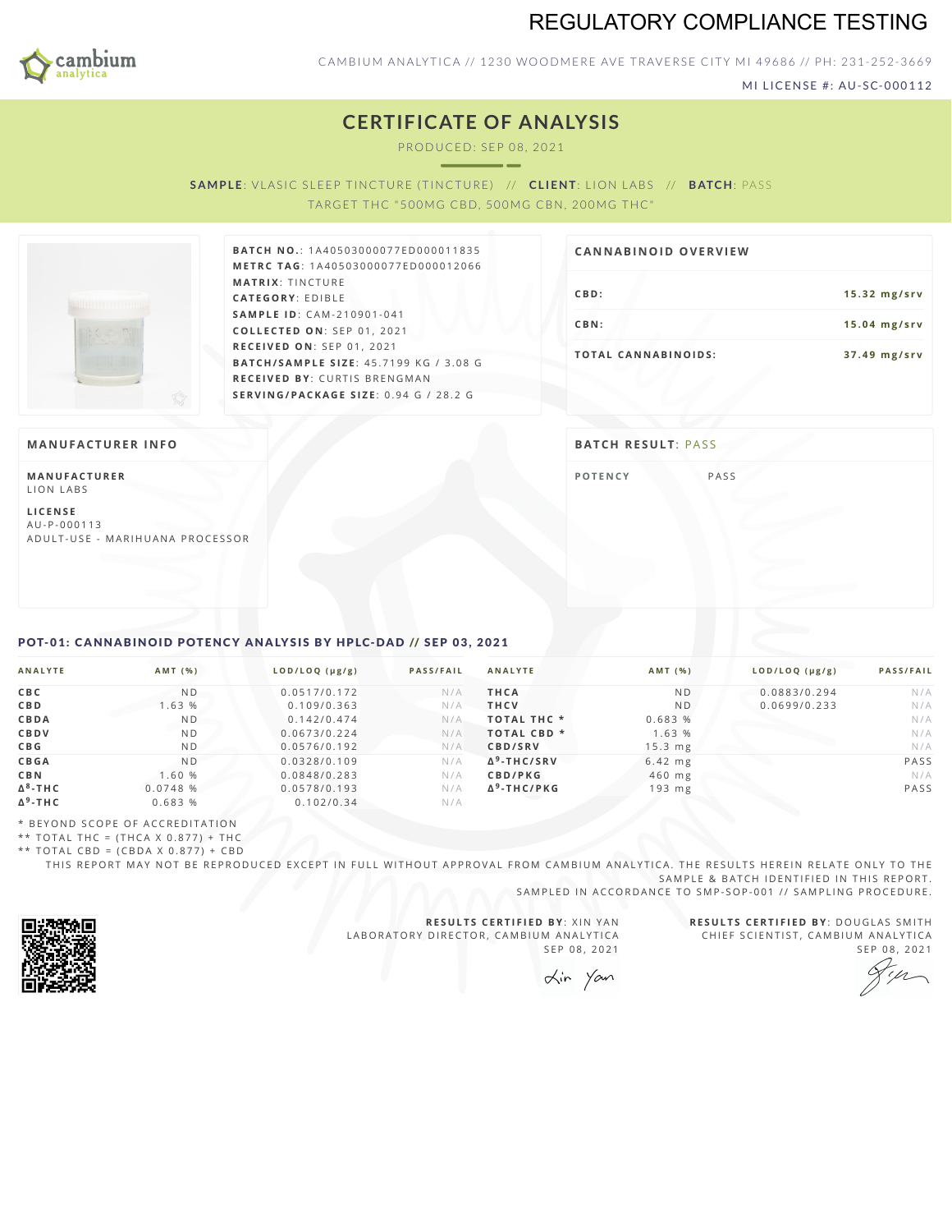

# REGULATORY COMPLIANCE TESTING

**CBD: 15.32 mg/srv CBN: 15.04 mg/srv T O TAL CA N N ABI N O I D S : 3 7 . 4 9 m g / s r v**

CAMBIUM ANALYTICA // 1230 WOODMERE AVE TRAVERSE CITY MI 49686 // PH: 231-252-3669

MI LICENSE #: AU-SC-000112

## **CERTIFICATE OF ANALYSIS**

PRODUC ED: SEP 08, 2021

**SAMPLE:** VLASIC SLEEP TINCTURE (TINCTURE) // **CLIENT:** LION LABS // **BATCH:** PASS

TARGET THC "500MG CBD, 500MG CBN, 200MG THC"



**BAT C H N O .**: 1 A 4 0 5 0 3 0 0 0 0 7 7 E D 0 0 0 0 1 1 8 3 5 **M E T R C TA G** :1 A 4 0 5 0 3 0 0 0 0 7 7 E D 0 0 0 0 1 2 0 6 6 **MATRIX: TINCTURE CAT E G O R Y** : E D IB L E **SA M P L E I D** :C A M - 2 1 0 9 0 1 - 0 4 1 **C O L L E C T E D O N** :S E P 0 1 ,2 0 2 1 **R E C E I V E D O N** : S E P 0 1 , 2 0 2 1 **BAT C H / SA M P L E S I Z E** : 4 5 . 7 1 9 9 K G / 3 . 0 8 G **R E C E I V E D BY** : C U R T I S B R E N G M A N **S E R V I N G / PAC KA G E S I Z E** : 0 . 9 4 G / 2 8 . 2 G

### **MANUFACTURER INFO BATCH RESULT**: PASS

**M A N U FAC T U R E R** LION LABS

**L I C E N S E** A U - P - 0 0 0 1 1 3 A D U L T - U S E - MARI H U A N A P R O CESSOR

**CA N N ABI N OID OVERVI EW**

**POTE[N](#page-0-0)CY** PASS

### <span id="page-0-0"></span>POT-01: CANNABINOID POTENCY ANALYSIS BY HPLC-DAD // SEP 03, 2021

| <b>ANALYTE</b>  | AMT (%)        | LOD/LOQ (µg/g) | <b>PASS/FAIL</b> | <b>ANALYTE</b>         | AMT (%)        | LOD/LOQ (µg/g) | <b>PASS/FAIL</b> |
|-----------------|----------------|----------------|------------------|------------------------|----------------|----------------|------------------|
| <b>CBC</b>      | N <sub>D</sub> | 0.0517/0.172   | N/A              | <b>THCA</b>            | N <sub>D</sub> | 0.0883/0.294   | N/A              |
| <b>CBD</b>      | 1.63 %         | 0.109/0.363    | N/A              | <b>THCV</b>            | N <sub>D</sub> | 0.0699/0.233   | N/A              |
| <b>CBDA</b>     | N <sub>D</sub> | 0.142/0.474    | N/A              | <b>TOTAL THC *</b>     | 0.683 %        |                | N/A              |
| CBDV            | N <sub>D</sub> | 0.0673/0.224   | N/A              | TOTAL CBD <sup>*</sup> | 1.63 %         |                | N/A              |
| C B G           | ND.            | 0.0576/0.192   | N/A              | CBD/SRV                | $15.3$ mg      |                | N/A              |
| <b>CBGA</b>     | N <sub>D</sub> | 0.0328/0.109   | N/A              | $\Delta^9$ -THC/SRV    | $6.42$ mg      |                | PASS             |
| <b>CBN</b>      | 1.60 %         | 0.0848/0.283   | N/A              | CBD/PKG                | $460$ mg       |                | N/A              |
| $\Delta^8$ -THC | 0.0748 %       | 0.0578/0.193   | N/A              | $\Delta^9$ -THC/PKG    | $193$ mg       |                | PASS             |
| $\Delta^9$ -THC | 0.683%         | 0.102/0.34     | N/A              |                        |                |                |                  |

\* B E Y O N D S C O P E O F A C C R E D IT A T I O N

\*\* TOTAL THC =  $(THCA X 0.877) + THC$ 

\*\* TOTAL CBD = (CBDA X 0.877) + CBD

THIS REPORT MAY NOT BE REPRODUCED EXCEPT IN FULL WITHOUT APPROVAL FROM CAMBIUM ANALYTICA. THE RESULTS HEREIN RELATE ONLY TO THE SAMPLE & BATCH IDENTIFIED IN THIS REPORT.

SAMPLED IN ACCORDANCE TO SMP-SOP-001 // SAMPLING PROCEDURE.



**R E S U L T S C E R T I F I E D BY** : X I N Y A N LABORATORY DIRECTOR, CAMBIUM ANALYTICA SEP 08, 2021

**R E S U L T S C E R T I F I E D BY** : D O U G L A S S M I T H CHIEF SCIENTIST, CAMBIUM ANALYTICA SEP 08, 2021